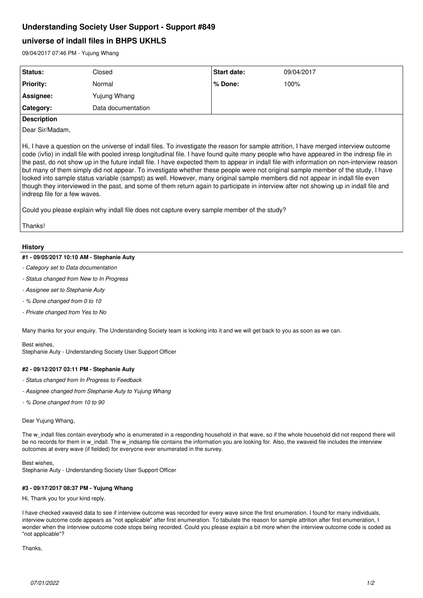# **Understanding Society User Support - Support #849**

# **universe of indall files in BHPS UKHLS**

09/04/2017 07:46 PM - Yujung Whang

| Status:          | Closed             | <b>Start date:</b> | 09/04/2017 |
|------------------|--------------------|--------------------|------------|
| <b>Priority:</b> | Normal             | l % Done:          | 100%       |
| Assignee:        | Yujung Whang       |                    |            |
| Category:        | Data documentation |                    |            |

# **Description**

Dear Sir/Madam,

Hi, I have a question on the universe of indall files. To investigate the reason for sample attrition, I have merged interview outcome code (ivfio) in indall file with pooled inresp longitudinal file. I have found quite many people who have appeared in the indresp file in the past, do not show up in the future indall file. I have expected them to appear in indall file with information on non-interview reason but many of them simply did not appear. To investigate whether these people were not original sample member of the study, I have looked into sample status variable (sampst) as well. However, many original sample members did not appear in indall file even though they interviewed in the past, and some of them return again to participate in interview after not showing up in indall file and indresp file for a few waves.

Could you please explain why indall file does not capture every sample member of the study?

Thanks!

# **History**

# **#1 - 09/05/2017 10:10 AM - Stephanie Auty**

- *Category set to Data documentation*
- *Status changed from New to In Progress*
- *Assignee set to Stephanie Auty*
- *% Done changed from 0 to 10*
- *Private changed from Yes to No*

Many thanks for your enquiry. The Understanding Society team is looking into it and we will get back to you as soon as we can.

Best wishes, Stephanie Auty - Understanding Society User Support Officer

## **#2 - 09/12/2017 03:11 PM - Stephanie Auty**

- *Status changed from In Progress to Feedback*
- *Assignee changed from Stephanie Auty to Yujung Whang*
- *% Done changed from 10 to 90*

## Dear Yujung Whang,

The w indall files contain everybody who is enumerated in a responding household in that wave, so if the whole household did not respond there will be no records for them in w\_indall. The w\_indsamp file contains the information you are looking for. Also, the xwaveid file includes the interview outcomes at every wave (if fielded) for everyone ever enumerated in the survey.

## Best wishes,

Stephanie Auty - Understanding Society User Support Officer

# **#3 - 09/17/2017 08:37 PM - Yujung Whang**

Hi, Thank you for your kind reply.

I have checked xwaveid data to see if interview outcome was recorded for every wave since the first enumeration. I found for many individuals, interview outcome code appears as "not applicable" after first enumeration. To tabulate the reason for sample attrition after first enumeration, I wonder when the interview outcome code stops being recorded. Could you please explain a bit more when the interview outcome code is coded as "not applicable"?

Thanks,